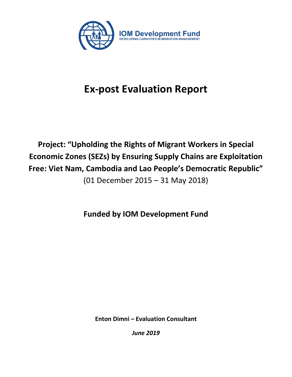

# **Ex-post Evaluation Report**

# **Project: "Upholding the Rights of Migrant Workers in Special Economic Zones (SEZs) by Ensuring Supply Chains are Exploitation Free: Viet Nam, Cambodia and Lao People's Democratic Republic"**

(01 December 2015 – 31 May 2018)

**Funded by IOM Development Fund**

**Enton Dimni – Evaluation Consultant**

*June 2019*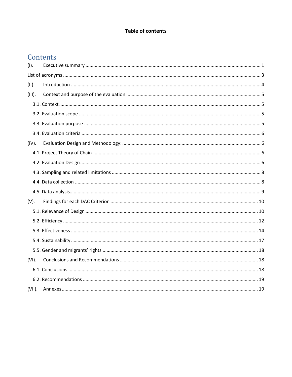# **Table of contents**

# Contents

| (I).      |  |
|-----------|--|
|           |  |
| $(11)$ .  |  |
| (III).    |  |
|           |  |
|           |  |
|           |  |
|           |  |
| (IV).     |  |
|           |  |
|           |  |
|           |  |
|           |  |
|           |  |
| $(V)$ .   |  |
|           |  |
|           |  |
|           |  |
|           |  |
|           |  |
| (VI).     |  |
|           |  |
|           |  |
| $(VII)$ . |  |
|           |  |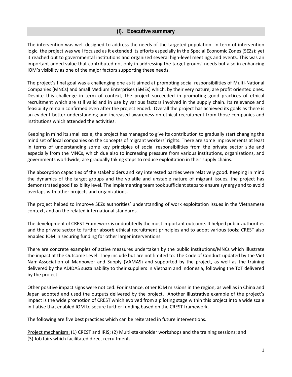# **(I). Executive summary**

<span id="page-2-0"></span>The intervention was well designed to address the needs of the targeted population. In term of intervention logic, the project was well focused as it extended its efforts especially in the Special Economic Zones (SEZs); yet it reached out to governmental institutions and organized several high-level meetings and events. This was an important added value that contributed not only in addressing the target groups' needs but also in enhancing IOM's visibility as one of the major factors supporting these needs.

The project's final goal was a challenging one as it aimed at promoting social responsibilities of Multi-National Companies (MNCs) and Small Medium Enterprises (SMEs) which, by their very nature, are profit oriented ones. Despite this challenge in term of context, the project succeeded in promoting good practices of ethical recruitment which are still valid and in use by various factors involved in the supply chain. Its relevance and feasibility remain confirmed even after the project ended. Overall the project has achieved its goals as there is an evident better understanding and increased awareness on ethical recruitment from those companies and institutions which attended the activities.

Keeping in mind its small scale, the project has managed to give its contribution to gradually start changing the mind set of local companies on the concepts of migrant workers' rights. There are some improvements at least in terms of understanding some key principles of social responsibilities from the private sector side and especially from the MNCs, which due also to increasing pressure from various institutions, organizations, and governments worldwide, are gradually taking steps to reduce exploitation in their supply chains.

The absorption capacities of the stakeholders and key interested parties were relatively good. Keeping in mind the dynamics of the target groups and the volatile and unstable nature of migrant issues, the project has demonstrated good flexibility level. The implementing team took sufficient steps to ensure synergy and to avoid overlaps with other projects and organizations.

The project helped to improve SEZs authorities' understanding of work exploitation issues in the Vietnamese context, and on the related international standards.

The development of CREST Framework is undoubtedly the most important outcome. It helped public authorities and the private sector to further absorb ethical recruitment principles and to adopt various tools; CREST also enabled IOM in securing funding for other larger interventions.

There are concrete examples of active measures undertaken by the public institutions/MNCs which illustrate the impact at the Outcome Level. They include but are not limited to: The Code of Conduct updated by the Viet Nam Association of Manpower and Supply (VAMAS) and supported by the project, as well as the training delivered by the ADIDAS sustainability to their suppliers in Vietnam and Indonesia, following the ToT delivered by the project.

Other positive impact signs were noticed. For instance, other IOM missions in the region, as well as in China and Japan adopted and used the outputs delivered by the project. Another illustrative example of the project's impact is the wide promotion of CREST which evolved from a piloting stage within this project into a wide scale initiative that enabled IOM to secure further funding based on the CREST framework.

The following are five best practices which can be reiterated in future interventions.

Project mechanism: (1) CREST and IRIS; (2) Multi-stakeholder workshops and the training sessions; and (3) Job fairs which facilitated direct recruitment.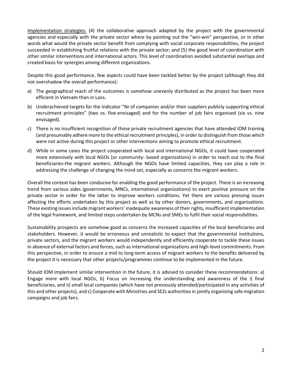Implementation strategies: (4) the collaborative approach adapted by the project with the governmental agencies and especially with the private sector where by pointing out the "win-win" perspective, or in other words what would the private sector benefit from complying with social corporate responsibilities, the project succeeded in establishing fruitful relations with the private sector; and (5) the good level of coordination with other similar interventions and international actors. This level of coordination avoided substantial overlaps and created basis for synergies among different organizations.

Despite this good performance, few aspects could have been tackled better by the project (although they did not overshadow the overall performance):

- a) The geographical reach of the outcomes is somehow unevenly distributed as the project has been more efficient in Vietnam than in Laos.
- b) Underachieved targets for the Indicator "Nr of companies and/or their suppliers publicly supporting ethical recruitment principles" (two vs. five-envisaged) and for the number of job fairs organised (six vs. nine envisaged).
- c) There is no insufficient recognition of those private recruitment agencies that have attended IOM training (and presumably adhere more to the ethical recruitment principles), in order to distinguish from those which were not active during this project or other interventions aiming to promote ethical recruitment.
- d) While in some cases the project cooperated with local and international NGOs, it could have cooperated more extensively with local NGOs (or community- based organizations) in order to reach out to the final beneficiaries-the migrant workers. Although the NGOs have limited capacities, they can play a role in addressing the challenge of changing the mind-set, especially as concerns the migrant workers.

Overall the context has been conducive for enabling the good performance of the project. There is an increasing trend from various sides (governments, MNCs, international organizations) to exert positive pressure on the private sector in order for the latter to improve workers conditions. Yet there are various pressing issues affecting the efforts undertaken by this project as well as by other donors, governments, and organizations. These existing issues include migrant workers' inadequate awareness of their rights, insufficient implementation of the legal framework, and limited steps undertaken by MCNs and SMEs to fulfil their social responsibilities.

Sustainability prospects are somehow good as concerns the increased capacities of the local beneficiaries and stakeholders. However, it would be erroneous and unrealistic to expect that the governmental institutions, private sectors, and the migrant workers would independently and efficiently cooperate to tackle these issues in absence of external factors and forces, such as international organizations and high-level commitments. From this perspective, in order to ensure a mid to long-term access of migrant workers to the benefits delivered by the project it is necessary that other projects/programmes continue to be implemented in the future.

Should IOM implement similar intervention in the future, it is advised to consider these recommendations: a) Engage more with local NGOs, b) Focus on increasing the understanding and awareness of the i) final beneficiaries, and ii) small local companies (which have not previously attended/participated in any activities of this and other projects), and c) Cooperate with Ministries and SEZs authorities in jointly organising safe migration campaigns and job fairs.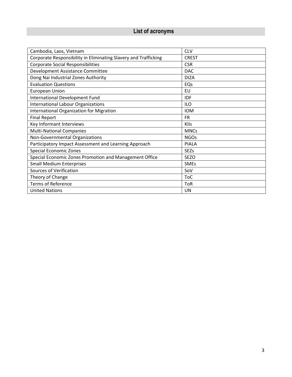# <span id="page-4-0"></span> **List of acronyms**

| Cambodia, Laos, Vietnam                                         | <b>CLV</b>   |
|-----------------------------------------------------------------|--------------|
| Corporate Responsibility in Eliminating Slavery and Trafficking | <b>CREST</b> |
| <b>Corporate Social Responsibilities</b>                        | <b>CSR</b>   |
| Development Assistance Committee                                | <b>DAC</b>   |
| Dong Nai Industrial Zones Authority                             | <b>DIZA</b>  |
| <b>Evaluation Questions</b>                                     | EQs          |
| <b>European Union</b>                                           | EU           |
| International Development Fund                                  | IDF          |
| <b>International Labour Organizations</b>                       | <b>ILO</b>   |
| International Organization for Migration                        | <b>IOM</b>   |
| <b>Final Report</b>                                             | <b>FR</b>    |
| Key Informant Interviews                                        | <b>KIIs</b>  |
| <b>Multi-National Companies</b>                                 | <b>MNCs</b>  |
| Non-Governmental Organizations                                  | <b>NGOs</b>  |
| Participatory Impact Assessment and Learning Approach           | <b>PIALA</b> |
| <b>Special Economic Zones</b>                                   | <b>SEZs</b>  |
| Special Economic Zones Promotion and Management Office          | <b>SEZO</b>  |
| <b>Small Medium Enterprises</b>                                 | <b>SMEs</b>  |
| Sources of Verification                                         | SoV          |
| Theory of Change                                                | <b>ToC</b>   |
| <b>Terms of Reference</b>                                       | <b>ToR</b>   |
| <b>United Nations</b>                                           | UN           |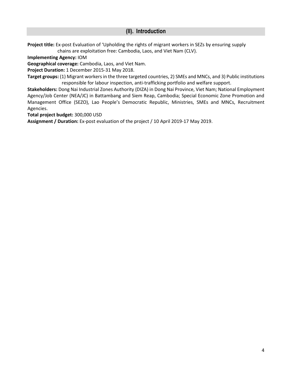# **(II). Introduction**

<span id="page-5-0"></span>**Project title:** Ex-post Evaluation of 'Upholding the rights of migrant workers in SEZs by ensuring supply chains are exploitation free: Cambodia, Laos, and Viet Nam (CLV).

**Implementing Agency:** IOM

**Geographical coverage:** Cambodia, Laos, and Viet Nam.

**Project Duration:** 1 December 2015-31 May 2018.

**Target groups:** (1) Migrant workers in the three targeted countries, 2) SMEs and MNCs, and 3) Public institutions responsible for labour inspection, anti‐trafficking portfolio and welfare support.

**Stakeholders:** Dong Nai Industrial Zones Authority (DIZA) in Dong Nai Province, Viet Nam; National Employment Agency/Job Center (NEA/JC) in Battambang and Siem Reap, Cambodia; Special Economic Zone Promotion and Management Office (SEZO), Lao People's Democratic Republic, Ministries, SMEs and MNCs, Recruitment Agencies.

**Total project budget:** 300,000 USD

**Assignment / Duration:** Ex-post evaluation of the project / 10 April 2019-17 May 2019.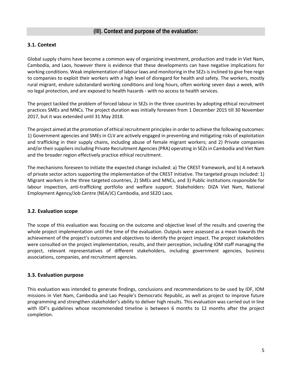# <span id="page-6-1"></span><span id="page-6-0"></span>**3.1. Context**

Global supply chains have become a common way of organizing investment, production and trade in Viet Nam, Cambodia, and Laos, however there is evidence that these developments can have negative implications for working conditions. Weak implementation of labour laws and monitoring in the SEZs is inclined to give free reign to companies to exploit their workers with a high level of disregard for health and safety. The workers, mostly rural migrant, endure substandard working conditions and long hours, often working seven days a week, with no legal protection, and are exposed to health hazards - with no access to health services.

The project tackled the problem of forced labour in SEZs in the three countries by adopting ethical recruitment practices SMEs and MNCs. The project duration was initially foreseen from 1 December 2015 till 30 November 2017, but it was extended until 31 May 2018.

The project aimed at the promotion of ethical recruitment principles in order to achieve the following outcomes: 1) Government agencies and SMEs in CLV are actively engaged in preventing and mitigating risks of exploitation and trafficking in their supply chains, including abuse of female migrant workers; and 2) Private companies and/or their suppliers including Private Recruitment Agencies (PRA) operating in SEZs in Cambodia and Viet Nam and the broader region effectively practice ethical recruitment.

The mechanisms foreseen to initiate the expected change included: a) The CREST framework, and b) A network of private sector actors supporting the implementation of the CREST initiative. The targeted groups included: 1) Migrant workers in the three targeted countries, 2) SMEs and MNCs, and 3) Public institutions responsible for labour inspection, anti-trafficking portfolio and welfare support. Stakeholders: DIZA Viet Nam, National Employment Agency/Job Centre (NEA/JC) Cambodia, and SEZO Laos.

# <span id="page-6-2"></span>**3.2. Evaluation scope**

The scope of this evaluation was focusing on the outcome and objective level of the results and covering the whole project implementation until the time of the evaluation. Outputs were assessed as a mean towards the achievement of the project's outcomes and objectives to identify the project impact. The project stakeholders were consulted on the project implementation, results, and their perception, including IOM staff managing the project, relevant representatives of different stakeholders, including government agencies, business associations, companies, and recruitment agencies.

# <span id="page-6-3"></span>**3.3. Evaluation purpose**

This evaluation was intended to generate findings, conclusions and recommendations to be used by IDF, IOM missions in Viet Nam, Cambodia and Lao People's Democratic Republic, as well as project to improve future programming and strengthen stakeholder's ability to deliver high results. This evaluation was carried out in line with IDF's guidelines whose recommended timeline is between 6 months to 12 months after the project completion.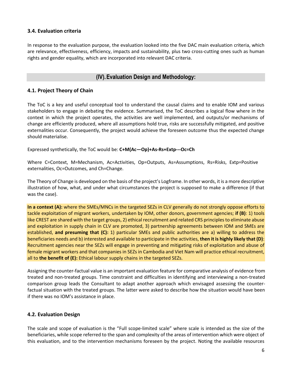# <span id="page-7-0"></span>**3.4. Evaluation criteria**

In response to the evaluation purpose, the evaluation looked into the five DAC main evaluation criteria, which are relevance, effectiveness, efficiency, impacts and sustainability, plus two cross-cutting ones such as human rights and gender equality, which are incorporated into relevant DAC criteria.

# **(IV).Evaluation Design and Methodology:**

# <span id="page-7-2"></span><span id="page-7-1"></span>**4.1. Project Theory of Chain**

The ToC is a key and useful conceptual tool to understand the causal claims and to enable IOM and various stakeholders to engage in debating the evidence. Summarised, the ToC describes a logical flow where in the context in which the project operates, the activities are well implemented, and outputs/or mechanisms of change are efficiently produced, where all assumptions hold true, risks are successfully mitigated, and positive externalities occur. Consequently, the project would achieve the foreseen outcome thus the expected change should materialise.

Expressed synthetically, the ToC would be: **C+M(Ac—Op)+As-Rs+Extp---Oc=Ch**

Where C=Context, M=Mechanism, Ac=Activities, Op=Outputs, As=Assumptions, Rs=Risks, Extp=Positive externalities, Oc=Outcomes, and Ch=Change.

The Theory of Change is developed on the basis of the project's Logframe. In other words, it is a more descriptive illustration of how, what, and under what circumstances the project is supposed to make a difference (if that was the case).

**In a context (A):** where the SMEs/MNCs in the targeted SEZs in CLV generally do not strongly oppose efforts to tackle exploitation of migrant workers, undertaken by IOM, other donors, government agencies; **if (B)**: 1) tools like CREST are shared with the target groups, 2) ethical recruitment and related CRS principles to eliminate abuse and exploitation in supply chain in CLV are promoted, 3) partnership agreements between IOM and SMEs are established, **and presuming that (C):** 1) particular SMEs and public authorities are a) willing to address the beneficiaries needs and b) interested and available to participate in the activities, **then it is highly likely that (D)**: Recruitment agencies near the SEZs will engage in preventing and mitigating risks of exploitation and abuse of female migrant workers and that companies in SEZs in Cambodia and Viet Nam will practice ethical recruitment, all to **the benefit of (E):** Ethical labour supply chains in the targeted SEZs.

Assigning the counter-factual value is an important evaluation feature for comparative analysis of evidence from treated and non-treated groups. Time constraint and difficulties in identifying and interviewing a non-treated comparison group leads the Consultant to adapt another approach which envisaged assessing the counterfactual situation with the treated groups. The latter were asked to describe how the situation would have been if there was no IOM's assistance in place.

# <span id="page-7-3"></span>**4.2. Evaluation Design**

The scale and scope of evaluation is the "Full scope-limited scale" where scale is intended as the size of the beneficiaries, while scope referred to the span and complexity of the areas of intervention which were object of this evaluation, and to the intervention mechanisms foreseen by the project. Noting the available resources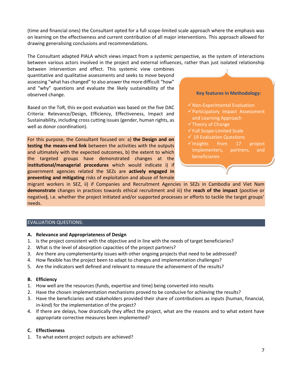(time and financial ones) the Consultant opted for a full scope-limited scale approach where the emphasis was on learning on the effectiveness and current contribution of all major interventions. This approach allowed for drawing generalising conclusions and recommendations.

The Consultant adapted PIALA which views impact from a systemic perspective, as the system of interactions between various actors involved in the project and external influences, rather than just isolated relationship

between intervention and effect. This systemic view combines quantitative and qualitative assessments and seeks to move beyond assessing "what has changed" to also answer the more difficult "how" and "why" questions and evaluate the likely sustainability of the observed change.

Based on the ToR, this ex-post evaluation was based on the five DAC Criteria: Relevance/Design, Efficiency, Effectiveness, Impact and Sustainability, including cross cutting issues (gender, human rights, as well as donor coordination).

For this purpose, the Consultant focused on: a) **the Design and on testing the means-end link** between the activities with the outputs and ultimately with the expected outcomes, b) the extent to which the targeted groups have demonstrated changes at the **institutional/managerial procedures** which would indicate i) if government agencies related the SEZs are **actively engaged in preventing and mitigating** risks of exploitation and abuse of female

#### **Key features in Methodology:**

- $\checkmark$  Non-Experimental Evaluation
- $\checkmark$  Participatory Impact Assessment and Learning Approach
- ✓Theory of Change
- ✓Full Scope-Limited Scale
- $\checkmark$  19 Evaluation Questions
- ✓Insights from 17 project implementers, partners, and beneficiaries

migrant workers in SEZ, ii) if Companies and Recruitment Agencies in SEZs in Cambodia and Viet Nam **demonstrate** changes in practices towards ethical recruitment and iii) the **reach of the impact** (positive or negative**)**, i.e. whether the project initiated and/or supported processes or efforts to tackle the target groups' needs.

# EVALUATION QUESTIONS:

#### **A. Relevance and Appropriateness of Design**

- 1. Is the project consistent with the objective and in line with the needs of target beneficiaries?
- 2. What is the level of absorption capacities of the project partners?
- 3. Are there any complementarity issues with other ongoing projects that need to be addressed?
- 4. How flexible has the project been to adapt to changes and implementation challenges?
- 5. Are the indicators well defined and relevant to measure the achievement of the results?

#### **B. Efficiency**

- 1. How well are the resources (funds, expertise and time) being converted into results
- 2. Have the chosen implementation mechanisms proved to be conducive for achieving the results?
- 3. Have the beneficiaries and stakeholders provided their share of contributions as inputs (human, financial, in-kind) for the implementation of the project?
- 4. If there are delays, how drastically they affect the project, what are the reasons and to what extent have appropriate corrective measures been implemented?

#### **C. Effectiveness**

1. To what extent project outputs are achieved?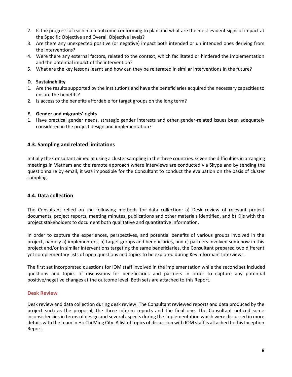- 2. Is the progress of each main outcome conforming to plan and what are the most evident signs of impact at the Specific Objective and Overall Objective levels?
- 3. Are there any unexpected positive (or negative) impact both intended or un intended ones deriving from the interventions?
- 4. Were there any external factors, related to the context, which facilitated or hindered the implementation and the potential impact of the intervention?
- 5. What are the key lessons learnt and how can they be reiterated in similar interventions in the future?

## **D. Sustainability**

- 1. Are the results supported by the institutions and have the beneficiaries acquired the necessary capacities to ensure the benefits?
- 2. Is access to the benefits affordable for target groups on the long term?

## **E. Gender and migrants' rights**

1. Have practical gender needs, strategic gender interests and other gender‐related issues been adequately considered in the project design and implementation?

# <span id="page-9-0"></span>**4.3. Sampling and related limitations**

Initially the Consultant aimed at using a cluster sampling in the three countries. Given the difficulties in arranging meetings in Vietnam and the remote approach where interviews are conducted via Skype and by sending the questionnaire by email, it was impossible for the Consultant to conduct the evaluation on the basis of cluster sampling.

# <span id="page-9-1"></span>**4.4. Data collection**

The Consultant relied on the following methods for data collection: a) Desk review of relevant project documents, project reports, meeting minutes, publications and other materials identified, and b) KIIs with the project stakeholders to document both qualitative and quantitative information.

In order to capture the experiences, perspectives, and potential benefits of various groups involved in the project, namely a) implementers, b) target groups and beneficiaries, and c) partners involved somehow in this project and/or in similar interventions targeting the same beneficiaries, the Consultant prepared two different yet complementary lists of open questions and topics to be explored during Key Informant Interviews.

The first set incorporated questions for IOM staff involved in the implementation while the second set included questions and topics of discussions for beneficiaries and partners in order to capture any potential positive/negative changes at the outcome level. Both sets are attached to this Report.

#### **Desk Review**

Desk review and data collection during desk review: The Consultant reviewed reports and data produced by the project such as the proposal, the three interim reports and the final one. The Consultant noticed some inconsistencies in terms of design and several aspects during the implementation which were discussed in more details with the team in Ho Chi Ming City. A list of topics of discussion with IOM staff is attached to this Inception Report.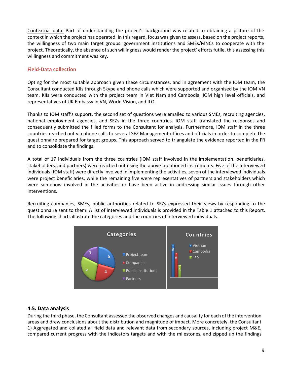Contextual data: Part of understanding the project's background was related to obtaining a picture of the context in which the project has operated. In this regard, focus was given to assess, based on the project reports, the willingness of two main target groups: government institutions and SMEs/MNCs to cooperate with the project. Theoretically, the absence of such willingness would render the project' efforts futile, this assessing this willingness and commitment was key.

# **Field-Data collection**

Opting for the most suitable approach given these circumstances, and in agreement with the IOM team, the Consultant conducted KIIs through Skype and phone calls which were supported and organised by the IOM VN team. KIIs were conducted with the project team in Viet Nam and Cambodia, IOM high level officials, and representatives of UK Embassy in VN, World Vision, and ILO.

Thanks to IOM staff's support, the second set of questions were emailed to various SMEs, recruiting agencies, national employment agencies, and SEZs in the three countries. IOM staff translated the responses and consequently submitted the filled forms to the Consultant for analysis. Furthermore, IOM staff in the three countries reached out via phone calls to several SEZ Management offices and officials in order to complete the questionnaire prepared for target groups. This approach served to triangulate the evidence reported in the FR and to consolidate the findings.

A total of 17 individuals from the three countries (IOM staff involved in the implementation, beneficiaries, stakeholders, and partners) were reached out using the above-mentioned instruments. Five of the interviewed individuals (IOM staff) were directly involved in implementing the activities, seven of the interviewed individuals were project beneficiaries, while the remaining five were representatives of partners and stakeholders which were somehow involved in the activities or have been active in addressing similar issues through other interventions.

Recruiting companies, SMEs, public authorities related to SEZs expressed their views by responding to the questionnaire sent to them. A list of interviewed individuals is provided in the Table 1 attached to this Report. The following charts illustrate the categories and the countries of interviewed individuals.



# <span id="page-10-0"></span>**4.5. Data analysis**

During the third phase, the Consultant assessed the observed changes and causality for each of the intervention areas and drew conclusions about the distribution and magnitude of impact. More concretely, the Consultant 1) Aggregated and collated all field data and relevant data from secondary sources, including project M&E, compared current progress with the indicators targets and with the milestones, and zipped up the findings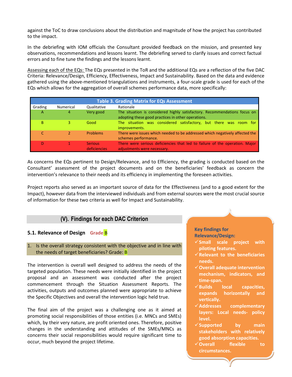against the ToC to draw conclusions about the distribution and magnitude of how the project has contributed to the impact.

In the debriefing with IOM officials the Consultant provided feedback on the mission, and presented key observations, recommendations and lessons learnt. The debriefing served to clarify issues and correct factual errors and to fine tune the findings and the lessons learnt.

Assessing each of the EQs: The EQs presented in the ToR and the additional EQs are a reflection of the five DAC Criteria: Relevance/Design, Efficiency, Effectiveness, Impact and Sustainability. Based on the data and evidence gathered using the above-mentioned triangulations and instruments, a four-scale grade is used for each of the EQs which allows for the aggregation of overall schemes performance data, more specifically:

| <b>Table 3. Grading Matrix for EQs Assessment</b> |           |                                       |                                                                                                                                 |  |  |  |  |  |  |  |
|---------------------------------------------------|-----------|---------------------------------------|---------------------------------------------------------------------------------------------------------------------------------|--|--|--|--|--|--|--|
| Grading                                           | Numerical | Qualitative                           | Rationale                                                                                                                       |  |  |  |  |  |  |  |
| A                                                 | 4         | Very good                             | The situation is considered highly satisfactory. Recommendations focus on<br>adopting these good practices in other operations. |  |  |  |  |  |  |  |
| В                                                 |           | Good                                  | The situation was considered satisfactory, but there was room for<br>improvements.                                              |  |  |  |  |  |  |  |
|                                                   |           | <b>Problems</b>                       | There were issues which needed to be addressed which negatively affected the<br>schemes performance.                            |  |  |  |  |  |  |  |
| D                                                 |           | <b>Serious</b><br><b>deficiencies</b> | There were serious deficiencies that led to failure of the operation. Major<br>adjustments were necessary.                      |  |  |  |  |  |  |  |

As concerns the EQs pertinent to Design/Relevance, and to Efficiency, the grading is conducted based on the Consultant' assessment of the project documents and on the beneficiaries' feedback as concern the intervention's relevance to their needs and its efficiency in implementing the foreseen activities.

Project reports also served as an important source of data for the Effectiveness (and to a good extent for the Impact), however data from the interviewed individuals and from external sources were the most crucial source of information for these two criteria as well for Impact and Sustainability.

# **(V). Findings for each DAC Criterion**

# <span id="page-11-1"></span><span id="page-11-0"></span>**5.1. Relevance of Design Grade** B

1. Is the overall strategy consistent with the objective and in line with the needs of target beneficiaries? Grade: B

The intervention is overall well designed to address the needs of the targeted population. These needs were initially identified in the project proposal and an assessment was conducted after the project commencement through the Situation Assessment Reports. The activities, outputs and outcomes planned were appropriate to achieve the Specific Objectives and overall the intervention logic held true.

The final aim of the project was a challenging one as it aimed at promoting social responsibilities of those entities (i.e. MNCs and SMEs) which, by their very nature, are profit oriented ones. Therefore, positive changes in the understanding and attitudes of the SMEs/MNCs as concerns their social responsibilities would require significant time to occur, much beyond the project lifetime.

#### **Key findings for Relevance/Design:**

- ✓**Small scale project with piloting features.**
- ✓**Relevant to the beneficiaries needs.**
- ✓**Overall adequate intervention mechanism, indicators, and time-span.**
- ✓**Builds local capacities, expands horizontally and vertically.**
- ✓**Addresses complementary layers: Local needs- policy level.**
- ✓**Supported by main stakeholders with relatively good absorption capacities.**
- ✓**Overall flexible to circumstances.**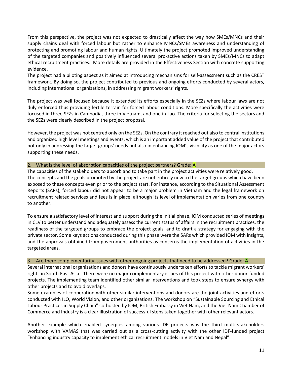From this perspective, the project was not expected to drastically affect the way how SMEs/MNCs and their supply chains deal with forced labour but rather to enhance MNCs/SMEs awareness and understanding of protecting and promoting labour and human rights. Ultimately the project promoted improved understanding of the targeted companies and positively influenced several pro-active actions taken by SMEs/MNCs to adapt ethical recruitment practices. More details are provided in the Effectiveness Section with concrete supporting evidence.

The project had a piloting aspect as it aimed at introducing mechanisms for self-assessment such as the CREST framework. By doing so, the project contributed to previous and ongoing efforts conducted by several actors, including international organizations, in addressing migrant workers' rights.

The project was well focused because it extended its efforts especially in the SEZs where labour laws are not duly enforced thus providing fertile terrain for forced labour conditions. More specifically the activities were focused in three SEZs in Cambodia, three in Vietnam, and one in Lao. The criteria for selecting the sectors and the SEZs were clearly described in the project proposal.

However, the project was not centred only on the SEZs. On the contrary it reached out also to central institutions and organized high level meetings and events, which is an important added value of the project that contributed not only in addressing the target groups' needs but also in enhancing IOM's visibility as one of the major actors supporting these needs.

#### 2. What is the level of absorption capacities of the project partners? Grade: A

The capacities of the stakeholders to absorb and to take part in the project activities were relatively good. The concepts and the goals promoted by the project are not entirely new to the target groups which have been exposed to these concepts even prior to the project start. For instance, according to the Situational Assessment Reports (SARs), forced labour did not appear to be a major problem in Vietnam and the legal framework on recruitment related services and fees is in place, although its level of implementation varies from one country to another.

To ensure a satisfactory level of interest and support during the initial phase, IOM conducted series of meetings in CLV to better understand and adequately assess the current status of affairs in the recruitment practices, the readiness of the targeted groups to embrace the project goals, and to draft a strategy for engaging with the private sector. Some keys actions conducted during this phase were the SARs which provided IOM with insights, and the approvals obtained from government authorities as concerns the implementation of activities in the targeted areas.

#### 3. Are there complementarity issues with other ongoing projects that need to be addressed? Grade: A

Several international organizations and donors have continuously undertaken efforts to tackle migrant workers' rights in South East Asia. There were no major complementary issues of this project with other donor-funded projects. The implementing team identified other similar interventions and took steps to ensure synergy with other projects and to avoid overlaps.

Some examples of cooperation with other similar interventions and donors are the joint activities and efforts conducted with ILO, World Vision, and other organizations. The workshop on "Sustainable Sourcing and Ethical Labour Practices in Supply Chain" co-hosted by IOM, British Embassy in Viet Nam, and the Viet Nam Chamber of Commerce and Industry is a clear illustration of successful steps taken together with other relevant actors.

Another example which enabled synergies among various IDF projects was the third multi-stakeholders workshop with VAMAS that was carried out as a cross-cutting activity with the other IDF-funded project "Enhancing industry capacity to implement ethical recruitment models in Viet Nam and Nepal".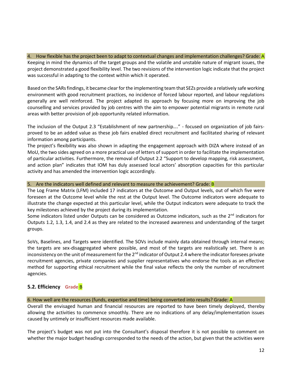4. How flexible has the project been to adapt to contextual changes and implementation challenges? Grade: A Keeping in mind the dynamics of the target groups and the volatile and unstable nature of migrant issues, the project demonstrated a good flexibility level. The two revisions of the intervention logic indicate that the project was successful in adapting to the context within which it operated.

Based on the SARs findings, it became clear for the implementing team that SEZs provide a relatively safe working environment with good recruitment practices, no incidence of forced labour reported, and labour regulations generally are well reinforced. The project adapted its approach by focusing more on improving the job counselling and services provided by job centres with the aim to empower potential migrants in remote rural areas with better provision of job opportunity related information.

The inclusion of the Output 2.3 "Establishment of new partnership…." - focused on organization of job fairsproved to be an added value as these job fairs enabled direct recruitment and facilitated sharing of relevant information among participants.

The project's flexibility was also shown in adapting the engagement approach with DIZA where instead of an MoU, the two sides agreed on a more practical use of letters of support in order to facilitate the implementation of particular activities. Furthermore, the removal of Output 2.2 "Support to develop mapping, risk assessment, and action plan" indicates that IOM has duly assessed local actors' absorption capacities for this particular activity and has amended the intervention logic accordingly.

#### 5. Are the indicators well defined and relevant to measure the achievement? Grade: B

The Log Frame Matrix (LFM) included 17 indicators at the Outcome and Output levels, out of which five were foreseen at the Outcome level while the rest at the Output level. The Outcome indicators were adequate to illustrate the change expected at this particular level, while the Output indicators were adequate to track the key milestones achieved by the project during its implementation.

Some indicators listed under Outputs can be considered as Outcome indicators, such as the 2<sup>nd</sup> indicators for Outputs 1.2, 1.3, 1.4, and 2.4 as they are related to the increased awareness and understanding of the target groups.

SoVs, Baselines, and Targets were identified. The SOVs include mainly data obtained through internal means; the targets are sex-disaggregated where possible, and most of the targets are realistically set. There is an inconsistency on the unit of measurement for the  $2^{nd}$  indicator of Output 2.4 where the indicator foresees private recruitment agencies, private companies and supplier representatives who endorse the tools as an effective method for supporting ethical recruitment while the final value reflects the only the number of recruitment agencies.

# <span id="page-13-0"></span>**5.2. Efficiency Grade** B

6. How well are the resources (funds, expertise and time) being converted into results? Grade: A

Overall the envisaged human and financial resources are reported to have been timely deployed, thereby allowing the activities to commence smoothly. There are no indications of any delay/implementation issues caused by untimely or insufficient resources made available.

The project's budget was not put into the Consultant's disposal therefore it is not possible to comment on whether the major budget headings corresponded to the needs of the action, but given that the activities were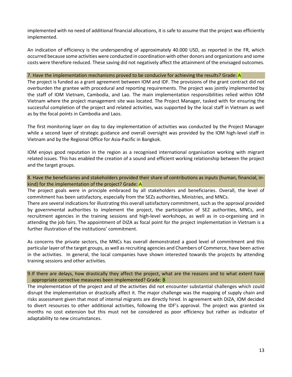implemented with no need of additional financial allocations, it is safe to assume that the project was efficiently implemented.

An indication of efficiency is the underspending of approximately 40.000 USD, as reported in the FR, which occurred because some activities were conducted in coordination with other donors and organizations and some costs were therefore reduced. These saving did not negatively affect the attainment of the envisaged outcomes.

#### 7. Have the implementation mechanisms proved to be conducive for achieving the results? Grade: A

The project is funded as a grant agreement between IOM and IDF. The provisions of the grant contract did not overburden the grantee with procedural and reporting requirements. The project was jointly implemented by the staff of IOM Vietnam, Cambodia, and Lao. The main implementation responsibilities relied within IOM Vietnam where the project management site was located. The Project Manager, tasked with for ensuring the successful completion of the project and related activities, was supported by the local staff in Vietnam as well as by the focal points in Cambodia and Laos.

The first monitoring layer on day to day implementation of activities was conducted by the Project Manager while a second layer of strategic guidance and overall oversight was provided by the IOM high-level staff in Vietnam and by the Regional Office for Asia-Pacific in Bangkok.

IOM enjoys good reputation in the region as a recognised international organisation working with migrant related issues. This has enabled the creation of a sound and efficient working relationship between the project and the target groups.

8. Have the beneficiaries and stakeholders provided their share of contributions as inputs (human, financial, inkind) for the implementation of the project? Grade: A

The project goals were in principle embraced by all stakeholders and beneficiaries. Overall, the level of commitment has been satisfactory, especially from the SEZs authorities, Ministries, and MNCs.

There are several indications for illustrating this overall satisfactory commitment, such as the approval provided by governmental authorities to implement the project, the participation of SEZ authorities, MNCs, and recruitment agencies in the training sessions and high-level workshops, as well as in co-organising and in attending the job fairs. The appointment of DIZA as focal point for the project implementation in Vietnam is a further illustration of the institutions' commitment.

As concerns the private sectors, the MNCs has overall demonstrated a good level of commitment and this particular layer of the target groups, as well as recruiting agencies and Chambers of Commerce, have been active in the activities. In general, the local companies have shown interested towards the projects by attending training sessions and other activities.

9.If there are delays, how drastically they affect the project, what are the reasons and to what extent have appropriate corrective measures been implemented? Grade: B

The implementation of the project and of the activities did not encounter substantial challenges which could disrupt the implementation or drastically affect it. The major challenge was the mapping of supply chain and risks assessment given that most of internal migrants are directly hired. In agreement with DIZA, IOM decided to divert resources to other additional activities, following the IDF's approval. The project was granted six months no cost extension but this must not be considered as poor efficiency but rather as indicator of adaptability to new circumstances.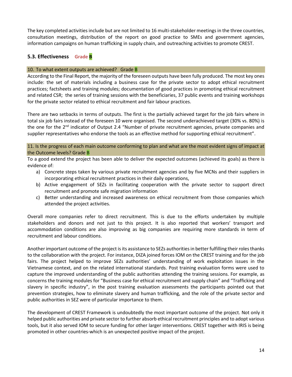The key completed activities include but are not limited to 16 multi-stakeholder meetings in the three countries, consultation meetings, distribution of the report on good practice to SMEs and government agencies, information campaigns on human trafficking in supply chain, and outreaching activities to promote CREST.

# <span id="page-15-0"></span>**5.3. Effectiveness Grade B**

#### 10. To what extent outputs are achieved? Grade B

According to the Final Report, the majority of the foreseen outputs have been fully produced. The most key ones include: the set of materials including a business case for the private sector to adopt ethical recruitment practices; factsheets and training modules; documentation of good practices in promoting ethical recruitment and related CSR; the series of training sessions with the beneficiaries, 37 public events and training workshops for the private sector related to ethical recruitment and fair labour practices.

There are two setbacks in terms of outputs. The first is the partially achieved target for the job fairs where in total six job fairs instead of the foreseen 10 were organised. The second underachieved target (30% vs. 80%) is the one for the 2<sup>nd</sup> indicator of Output 2.4 "Number of private recruitment agencies, private companies and supplier representatives who endorse the tools as an effective method for supporting ethical recruitment".

11. Is the progress of each main outcome conforming to plan and what are the most evident signs of impact at the Outcome levels? Grade B

To a good extend the project has been able to deliver the expected outcomes (achieved its goals) as there is evidence of:

- a) Concrete steps taken by various private recruitment agencies and by five MCNs and their suppliers in incorporating ethical recruitment practices in their daily operations,
- b) Active engagement of SEZs in facilitating cooperation with the private sector to support direct recruitment and promote safe migration information
- c) Better understanding and increased awareness on ethical recruitment from those companies which attended the project activities.

Overall more companies refer to direct recruitment. This is due to the efforts undertaken by multiple stakeholders and donors and not just to this project. It is also reported that workers' transport and accommodation conditions are also improving as big companies are requiring more standards in term of recruitment and labour conditions.

Another important outcome of the project is its assistance to SEZs authorities in better fulfilling their roles thanks to the collaboration with the project. For instance, DIZA joined forces IOM on the CREST training and for the job fairs. The project helped to improve SEZs authorities' understanding of work exploitation issues in the Vietnamese context, and on the related international standards. Post training evaluation forms were used to capture the improved understanding of the public authorities attending the training sessions. For example, as concerns the training modules for "Business case for ethical recruitment and supply chain" and "Trafficking and slavery in specific industry", in the post training evaluation assessments the participants pointed out that prevention strategies, how to eliminate slavery and human trafficking, and the role of the private sector and public authorities in SEZ were of particular importance to them.

The development of CREST Framework is undoubtedly the most important outcome of the project. Not only it helped public authorities and private sector to further absorb ethical recruitment principles and to adopt various tools, but it also served IOM to secure funding for other larger interventions. CREST together with IRIS is being promoted in other countries-which is an unexpected positive impact of the project.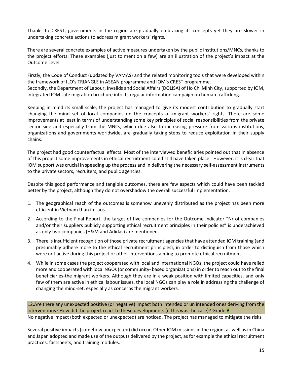Thanks to CREST, governments in the region are gradually embracing its concepts yet they are slower in undertaking concrete actions to address migrant workers' rights.

There are several concrete examples of active measures undertaken by the public institutions/MNCs, thanks to the project efforts. These examples (just to mention a few) are an illustration of the project's impact at the Outcome Level.

Firstly, the Code of Conduct (updated by VAMAS) and the related monitoring tools that were developed within the framework of ILO's TRIANGLE in ASEAN programme and IOM's CREST programme. Secondly, the Department of Labour, Invalids and Social Affairs (DOLISA) of Ho Chi Minh City, supported by IOM, integrated IOM safe migration brochure into its regular information campaign on human trafficking.

Keeping in mind its small scale, the project has managed to give its modest contribution to gradually start changing the mind set of local companies on the concepts of migrant workers' rights. There are some improvements at least in terms of understanding some key principles of social responsibilities from the private sector side and especially from the MNCs, which due also to increasing pressure from various institutions, organizations and governments worldwide, are gradually taking steps to reduce exploitation in their supply chains.

The project had good counterfactual effects. Most of the interviewed beneficiaries pointed out that in absence of this project some improvements in ethical recruitment could still have taken place. However, it is clear that IOM support was crucial in speeding up the process and in delivering the necessary self-assessment instruments to the private sectors, recruiters, and public agencies.

Despite this good performance and tangible outcomes, there are few aspects which could have been tackled better by the project, although they do not overshadow the overall successful implementation.

- 1. The geographical reach of the outcomes is somehow unevenly distributed as the project has been more efficient in Vietnam than in Laos.
- 2. According to the Final Report, the target of five companies for the Outcome Indicator "Nr of companies and/or their suppliers publicly supporting ethical recruitment principles in their policies" is underachieved as only two companies (H&M and Adidas) are mentioned.
- 3. There is insufficient recognition of those private recruitment agencies that have attended IOM training (and presumably adhere more to the ethical recruitment principles), in order to distinguish from those which were not active during this project or other interventions aiming to promote ethical recruitment.
- 4. While in some cases the project cooperated with local and international NGOs, the project could have relied more and cooperated with local NGOs (or community- based organizations) in order to reach out to the final beneficiaries-the migrant workers. Although they are in a weak position with limited capacities, and only few of them are active in ethical labour issues, the local NGOs can play a role in addressing the challenge of changing the mind-set, especially as concerns the migrant workers.

12.Are there any unexpected positive (or negative) impact both intended or un intended ones deriving from the interventions? How did the project react to these developments (if this was the case)? Grade B No negative impact (both expected or unexpected) are noticed. The project has managed to mitigate the risks.

Several positive impacts (somehow unexpected) did occur. Other IOM missions in the region, as well as in China and Japan adopted and made use of the outputs delivered by the project, as for example the ethical recruitment practices, factsheets, and training modules.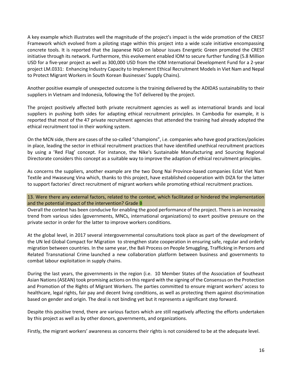A key example which illustrates well the magnitude of the project's impact is the wide promotion of the CREST Framework which evolved from a piloting stage within this project into a wide scale initiative encompassing concrete tools. It is reported that the Japanese NGO on labour issues Energetic Green promoted the CREST initiative through its network. Furthermore, this evolvement enabled IOM to secure further funding (5.8 Million USD for a five-year project as well as 300,000 USD from the IOM International Development Fund for a 2-year project LM.0331: Enhancing Industry Capacity to Implement Ethical Recruitment Models in Viet Nam and Nepal to Protect Migrant Workers in South Korean Businesses' Supply Chains).

Another positive example of unexpected outcome is the training delivered by the ADIDAS sustainability to their suppliers in Vietnam and Indonesia, following the ToT delivered by the project.

The project positively affected both private recruitment agencies as well as international brands and local suppliers in pushing both sides for adapting ethical recruitment principles. In Cambodia for example, it is reported that most of the 47 private recruitment agencies that attended the training had already adopted the ethical recruitment tool in their working system.

On the MCN side, there are cases of the so-called "champions", i.e. companies who have good practices/policies in place, leading the sector in ethical recruitment practices that have identified unethical recruitment practices by using a 'Red Flag' concept. For instance, the Nike's Sustainable Manufacturing and Sourcing Regional Directorate considers this concept as a suitable way to improve the adaption of ethical recruitment principles.

As concerns the suppliers, another example are the two Dong Nai Province-based companies Eclat Viet Nam Textile and Hwaseung Vina which, thanks to this project, have established cooperation with DIZA for the latter to support factories' direct recruitment of migrant workers while promoting ethical recruitment practices.

13. Were there any external factors, related to the context, which facilitated or hindered the implementation and the potential impact of the intervention? Grade B

Overall the context has been conducive for enabling the good performance of the project. There is an increasing trend from various sides (governments, MNCs, international organizations) to exert positive pressure on the private sector in order for the latter to improve workers conditions.

At the global level, in 2017 several intergovernmental consultations took place as part of the development of the UN led [Global Compact for Migration](http://refugeesmigrants.un.org/migration-compact) to strengthen state cooperation in ensuring safe, regular and orderly migration between countries. In the same year, the [Bali Process on People Smuggling, Trafficking in Persons and](http://www.baliprocess.net/)  [Related Transnational Crime](http://www.baliprocess.net/) launched a new collaboration platform between business and governments to combat labour exploitation in supply chains.

During the last years, the governments in the region (i.e. 10 Member States of the Association of Southeast Asian Nations (ASEAN) took promising actions on this regard with the signing of the Consensus on the Protection and Promotion of the Rights of Migrant Workers. The parties committed to ensure migrant workers' access to healthcare, legal rights, fair pay and decent living conditions, as well as protecting them against discrimination based on gender and origin. The deal is not binding yet but it represents a significant step forward.

Despite this positive trend, there are various factors which are still negatively affecting the efforts undertaken by this project as well as by other donors, governments, and organizations.

Firstly, the migrant workers' awareness as concerns their rights is not considered to be at the adequate level.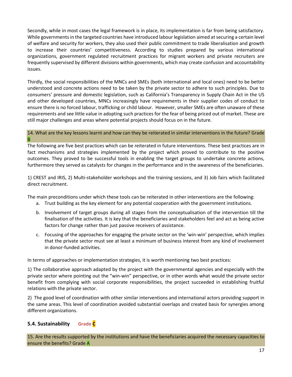Secondly, while in most cases the legal framework is in place, its implementation is far from being satisfactory. While governments in the targeted countries have introduced labour legislation aimed at securing a certain level of welfare and security for workers, they also used their public commitment to trade liberalisation and growth to increase their countries' competitiveness. According to studies prepared by various international organizations, government regulated recruitment practices for migrant workers and private recruiters are frequently supervised by different divisions within governments, which may create confusion and accountability issues.

Thirdly, the social responsibilities of the MNCs and SMEs (both international and local ones) need to be better understood and concrete actions need to be taken by the private sector to adhere to such principles. Due to consumers' pressure and domestic legislation, such as California's Transparency in Supply Chain Act in the US and other developed countries, MNCs increasingly have requirements in their supplier codes of conduct to ensure there is no forced labour, trafficking or child labour. However, smaller SMEs are often unaware of these requirements and see little value in adopting such practices for the fear of being priced out of market. These are still major challenges and areas where potential projects should focus on in the future.

#### 14. What are the key lessons learnt and how can they be reiterated in similar interventions in the future? Grade B

The following are five best practices which can be reiterated in future interventions. These best practices are in fact mechanisms and strategies implemented by the project which proved to contribute to the positive outcomes. They proved to be successful tools in enabling the target groups to undertake concrete actions, furthermore they served as catalysts for changes in the performance and in the awareness of the beneficiaries.

1) CREST and IRIS, 2) Multi-stakeholder workshops and the training sessions, and 3) Job fairs which facilitated direct recruitment.

The main preconditions under which these tools can be reiterated in other interventions are the following:

- a. Trust building as the key element for any potential cooperation with the government institutions.
- b. Involvement of target groups during all stages from the conceptualisation of the intervention till the finalisation of the activities. It is key that the beneficiaries and stakeholders feel and act as being active factors for change rather than just passive receivers of assistance.
- c. Focusing of the approaches for engaging the private sector on the 'win-win' perspective, which implies that the private sector must see at least a minimum of business interest from any kind of involvement in donor-funded activities.

In terms of approaches or implementation strategies, it is worth mentioning two best practices:

1) The collaborative approach adapted by the project with the governmental agencies and especially with the private sector where pointing out the "win-win" perspective, or in other words what would the private sector benefit from complying with social corporate responsibilities, the project succeeded in establishing fruitful relations with the private sector.

2) The good level of coordination with other similar interventions and international actors providing support in the same areas. This level of coordination avoided substantial overlaps and created basis for synergies among different organizations.

# <span id="page-18-0"></span>**5.4. Sustainability Grade C**

15. Are the results supported by the institutions and have the beneficiaries acquired the necessary capacities to ensure the benefits? Grade A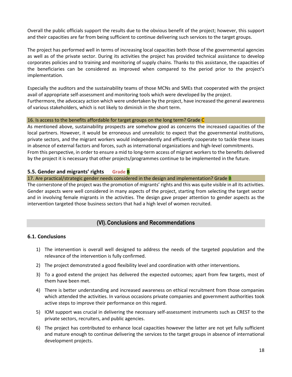Overall the public officials support the results due to the obvious benefit of the project; however, this support and their capacities are far from being sufficient to continue delivering such services to the target groups.

The project has performed well in terms of increasing local capacities both those of the governmental agencies as well as of the private sector. During its activities the project has provided technical assistance to develop corporates policies and to training and monitoring of supply chains. Thanks to this assistance, the capacities of the beneficiaries can be considered as improved when compared to the period prior to the project's implementation.

Especially the auditors and the sustainability teams of those MCNs and SMEs that cooperated with the project avail of appropriate self-assessment and monitoring tools which were developed by the project. Furthermore, the advocacy action which were undertaken by the project, have increased the general awareness of various stakeholders, which is not likely to diminish in the short term.

#### 16. Is access to the benefits affordable for target groups on the long term? Grade  $C$

As mentioned above, sustainability prospects are somehow good as concerns the increased capacities of the local partners. However, it would be erroneous and unrealistic to expect that the governmental institutions, private sectors, and the migrant workers would independently and efficiently cooperate to tackle these issues in absence of external factors and forces, such as international organizations and high-level commitments. From this perspective, in order to ensure a mid to long-term access of migrant workers to the benefits delivered by the project it is necessary that other projects/programmes continue to be implemented in the future.

# <span id="page-19-0"></span>**5.5. Gender and migrants' rights Grade B**

#### 17. Are practical/strategic gender needs considered in the design and implementation? Grade B

The cornerstone of the project was the promotion of migrants' rights and this was quite visible in all its activities. Gender aspects were well considered in many aspects of the project, starting from selecting the target sector and in involving female migrants in the activities. The design gave proper attention to gender aspects as the intervention targeted those business sectors that had a high level of women recruited.

# **(VI).Conclusions and Recommendations**

## <span id="page-19-2"></span><span id="page-19-1"></span>**6.1. Conclusions**

- 1) The intervention is overall well designed to address the needs of the targeted population and the relevance of the intervention is fully confirmed.
- 2) The project demonstrated a good flexibility level and coordination with other interventions.
- 3) To a good extend the project has delivered the expected outcomes; apart from few targets, most of them have been met.
- 4) There is better understanding and increased awareness on ethical recruitment from those companies which attended the activities. In various occasions private companies and government authorities took active steps to improve their performance on this regard.
- 5) IOM support was crucial in delivering the necessary self-assessment instruments such as CREST to the private sectors, recruiters, and public agencies.
- 6) The project has contributed to enhance local capacities however the latter are not yet fully sufficient and mature enough to continue delivering the services to the target groups in absence of international development projects.